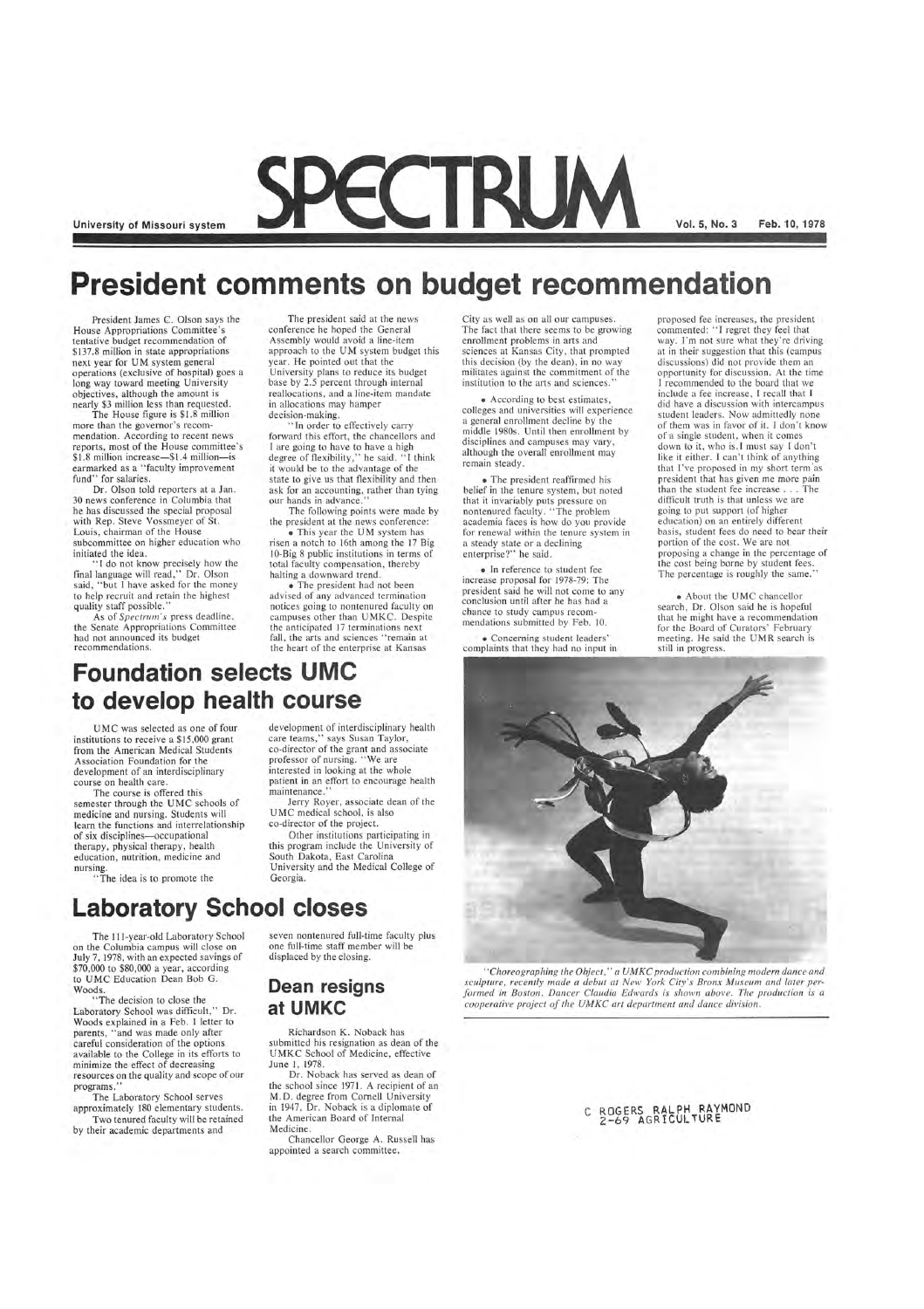University of Missouri system **Vol. 5, No. 3** Feb. 10, 1978

### **President comments on budget recommendation**

The House figure is \$1.8 million more than the governor's recommendation. According to recent news reports, most of the House committee's \$1.8 million increase-\$1.4 million-is earmarked as a "faculty improvement fund" for salaries.

President James C. Olson says the House Appropriations Committee's tentative budget recommendation of \$137.8 million in state appropriations next year for UM system general operations (exclusive of hospital) goes a long way toward meeting University objectives, although the amount is nearly \$3 million less than requested.

Dr. Olson told reporters at a Jan. 30 news conference in Columbia that he has discussed the special proposal with Rep. Steve Vossmeyer of St. Louis, chairman of the House subcommittee on higher education who initiated the idea.

"I do not know precisely how the final language will read," Dr. Olson said, "but I have asked for the money to help recruit and retain the highest quality staff possible. "

As of *Spectrum's* press deadline , the Senate Appropriations Committee had not announced its budget recommendations.

The president said at the news conference he hoped the General Assembly would avoid a line-item approach to the UM system budget this year. He pointed out that the University plans to reduce its budget base by 2.5 percent through internal reallocations, and a line-item mandate in allocations may hamper decision-making.

"In order to effectively carry forward this effort, the chancellors and I are going to have to have a high degree of flexibility," he said. "J think it would be to the advantage of the state to give us that flexibility and then ask for an accounting, rather than tying our hands in advance.

care teams," says Susan Taylor, co-director of the grant and associate professor of nursing. "We are interested in looking at the whole patient in an effort to encourage health maintenance.

"The decision to close the Laboratory School was difficult," Dr. Woods explained in a Feb. 1 letter to parents, "and was made only after careful consideration of the options available to the College in its efforts to minimize the effect of decreasing resources on the quality and scope of our programs."

The following points were made by the president at the news conference:

• This year the UM system has risen a notch to 16th among the 17 Big lO-Big 8 public institutions in terms of total faculty compensation, thereby

halting a downward trend. • The president had not been advised of any advanced termination notices going to nontenured faculty on campuses other than UMKC. Despite the anticipated 17 terminations next fall, the arts and sciences "remain at the heart of the enterprise at Kansas

### **Foundation selects UMC to develop health course**

UMC was selected as one of four institutions to receive a \$15,000 grant from the American Medical Students Association Foundation for the development of an interdisciplinary course on health care.

The course is offered this semester through the UMC schools of medicine and nursing. Students will learn the functions and interrelationship of six disciplines-occupational therapy, physical therapy, health education, nutrition, medicine and nursing.

"The idea is to promote the

development of interdisciplinary health

Jerry Royer, associate dean of the UMC medical school, is also co-director of the project.

Other institutions participating in this program include the University of South Dakota, East Carolina University and the Medical College of Georgia.

**Laboratory School closes** 

The 111-year-old Laboratory School on the Columbia campus will close on July 7, 1978, with an expected savings of

\$70,000 to \$80,000 a year, according to UMC Education Dean Bob G. Woods.

The Laboratory School serves approximately 180 elementary students.

Two tenured faculty will be retained by their academic departments and

seven nontenured full-time faculty plus one full-time staff member will be



displaced by the closing.

### **Dean resigns at UMKC**

Richardson K. Noback has submitted his resignation as dean of the UMKC School of Medicine, effective June 1, 1978.

Dr. Noback has served as dean of the school since 1971. A recipient of an M. D. degree from Cornell University in 1947, Dr. Noback is a diplomate of the American Board of Internal Medicine.

Chancellor George A. Russell has appointed a search committee.

City as well as on all our campuses. The fact that there seems to be growing enrollment problems in arts and sciences at Kansas City, that prompted this decision (by the dean), in no way militates against the commitment of the institution to the arts and sciences."

• According to best estimates, colleges and universities will experience a general enrollment decline by the middle 1980s. Until then enrollment by disciplines and campuses may vary, although the overall enrollment may remain steady .

• The president reaffirmed his belief in the tenure system, but noted that it invariably puts pressure on nontenured faculty. "The problem academia faces is how do you provide for renewal within the tenure system in a steady state or a declining enterprise?" he said.

• In reference to student fee increase proposal for 1978-79: The president said he will not come to any conclusion until after he has had a chance to study campus recommendations submitted by Feb. 10.

• Concerning student leaders' complaints that they had no input in propo sed fee increases, the president commented: "I regret they feel that way. I'm not sure what they're driving at in their suggestion that this (campus discussions) did not provide them an opportunity for discussion. At the time I recommended to the board that we include a fee increase, I recall that I did have a discussion with intercampus student leaders. Now admittedly none of them was in favor of it. I don 't know of a single student, when it comes down to it, who is. I must say I don't like it either. I can't think of anything that I've proposed in my short term 'as president that has given me more pain than the student fee increase . .. The difficult truth is that unless we are going to put support (of higher education) on an entirely different basis, student fees do need to bear their portion of the cost. We are not proposing a change in the percentage of the cost being borne by student fees. The percentage is roughly the same. "

• About the UMC chancellor search, Dr. Olson said he is hopeful that he might have a recommendation for the Board of Curators' February meeting. He said the UMR search is still in progress.

*" Choreographing the Object," a UMKC production combining modern dance and sculpture, recently made a debut at New York City's Bronx Museum and later performed in Boston. Dancer Claudia Edwards is shown above. The production is a cooperative project of the UMKC art department and dance division.* 

#### C ROGERS RALPH RAYMOND 2-69 AGRICULTURE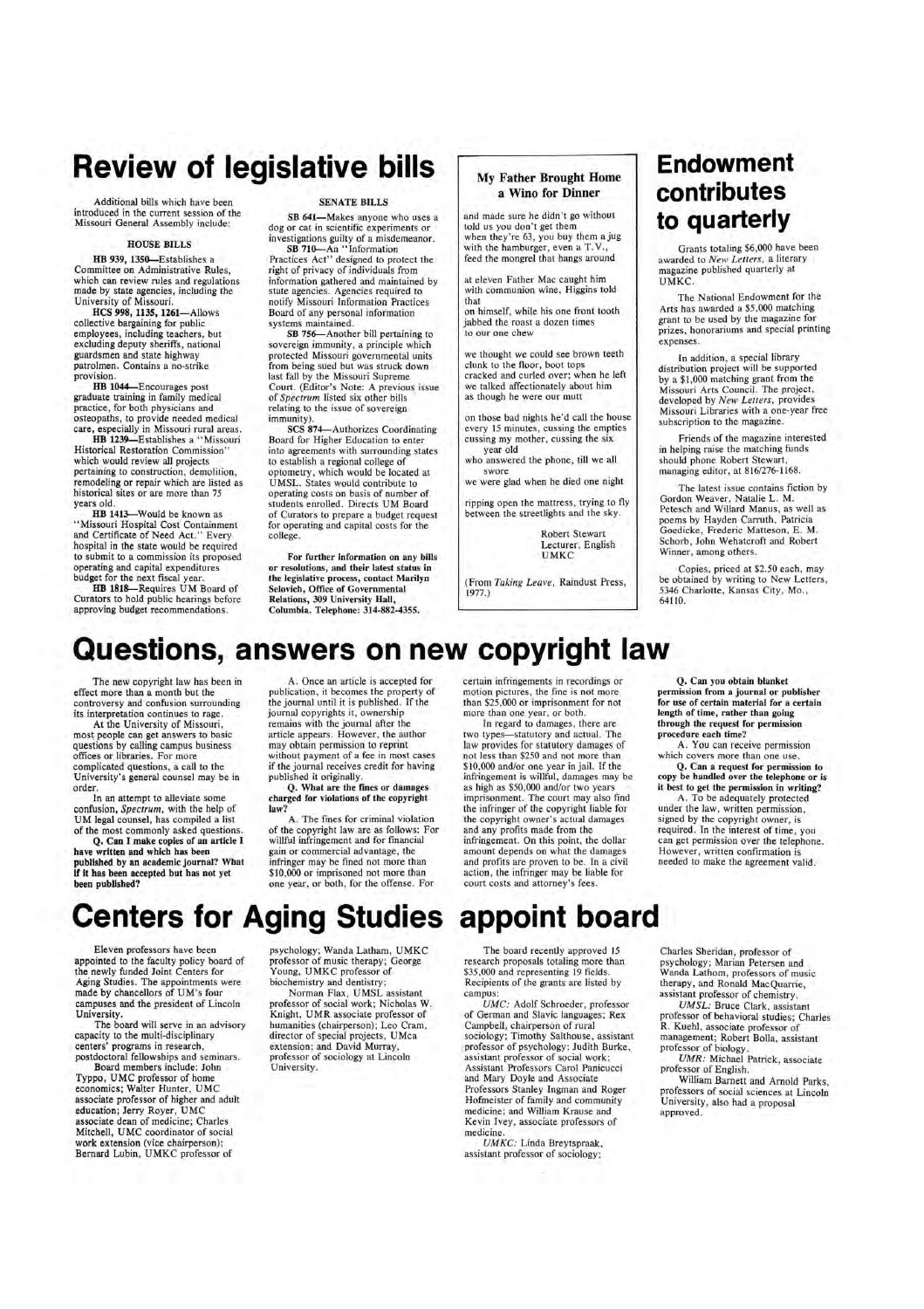### **Review of legislative bills**

Additional bills which have been introduced in the current session of the Missouri General Assembly include:

#### HOUSE BILLS

HB 939, 1350-Establishes a Committee on Administrative Rules, which can review rules and regulations made by state agencies, including the University of Missouri.

HB 1044-Encourages post graduate training in family medical practice, for both physicians and osteopaths, to provide needed medical care, especially in Missouri rural areas.

HCS 998, 1135, 1261-Allows collective bargaining for public employees, including teachers, but excluding deputy sheriffs, national guardsmen and state highway patrolmen. Contains a no-strike provision.

HB 1413-Would be known as "Missouri Hospital Cost Containment and Certificate of Need Act." Every hospital in the state would be required to submit to a commission its proposed operating and capital expenditures budget for the next fiscal year.

HB 1239-Establishes a "Missouri Historical Restoration Commission" which would review all projects pertaining to construction, demolition, remodeling or repair which are listed as historical sites or are more than 75 years old.

HB 1S1S-Requires UM Board of Curators to hold public hearings before approving budget recommendations.

#### SENATE BILLS

SB 641-Makes anyone who uses a dog or cat in scientific experiments or investigations guilty of a misdemeanor. SB 710-An "Information

Practices Act" designed to protect the right of privacy of individuals from information gathered and maintained by state agencies. Agencies required to notify Missouri Information Practices Board of any personal information systems maintained.

SB 756-Another bill pertaining to sovereign immunity, a principle which protected Missouri governmental units from being sued but was struck down last fall by the Missouri Supreme Court. (Editor's Note: A previous issue of *Spectrum* listed six other bills relating to the issue of sovereign immunity).

In addition, a special library distribution project will be supported by a \$1,000 matching grant from the Missouri Arts Council. The project, developed by *New Letters,* provides Missouri Libraries with a one-year free subscription to the magazine.

SCS 874-Authorizes Coordinating Board for Higher Education to enter into agreements with surrounding states to establish a regional college of optometry, which would be located at UMSL. States would contribute to operating costs on basis of number of students enrolled. Directs UM Board of Curators to prepare a budget request for operating and capital costs for the college.

For further information on any bills or resolutions, and their latest status in the legislative process, contact Marilyn Selovich, Office of Governmental Relations, 309 University Hall, Columbia. Telephone: 314-882-4355.

#### My Father Brought Home a Wino for Dinner

and made sure he didn't go without told us you don't get them when they're 63, you buy them ajug with the hamburger, even a T.V., feed the mongrel that hangs around

at eleven Father Mac caught him with communion wine, Higgins told that

on himself, while his one front tooth jabbed the roast a dozen times to our one chew

we thought we could see brown teeth clunk to the floor, boot tops cracked and curled over; when he left we talked affectionately about him as though he were our mutt

on those bad nights he'd call the house every 15 minutes, cussing the empties cussing my mother, cussing the six

year old who answered the phone, till we all

swore we were glad when he died one night

ripping open the mattress, trying to fly between the streetlights and the sky.

> Robert Stewart Lecturer, English UMKC

(From *Taking Leave,* Raindust Press, 1977.)

### **Endowment contributes to quarterly**

Grants totaling \$6,000 have been awarded to *New Letters,* a literary magazine published quarterly at UMKC.

The National Endowment for the Arts has awarded a \$5,000 matching grant to be used by the magazine for prizes, honorariums and special printing expenses.

Friends of the magazine interested in helping raise the matching funds should phone Robert Stewart, managing editor, at 816/276-1168.

The latest issue contains fiction by Gordon Weaver, Natalie L. M. Petesch and Willard Manus, as well as poems by Hayden Carruth, Patricia Goedicke, Frederic Matteson, E. M. Schorb, John Wehatcroft and Robert Winner, among others.

Copies, priced at \$2.50 each, may be obtained by writing to New Letters, 5346 Charlotte, Kansas City, Mo., 64110.

### **Questions, answers on new copyright law**

The new copyright law has been in effect more than a month but the controversy and confusion surrounding its interpretation continues to rage.

At the University of Missouri, most people can get answers to basic questions by calling campus business offices or libraries. For more complicated questions, a call to the University's general counsel may be in order.

In an attempt to alleviate some confusion, *Spectrum,* with the help of UM legal counsel, has compiled a list of the most commonly asked questions.

Q. Can I make copies of an article I have written and which has been published by an academic journal? What if it has been accepted but has not yet been published?

A. Once an article is accepted for publication, it becomes the property of the journal until it is published. If the journal copyrights it, ownership remains with the journal after the article appears. However, the author may obtain permission to reprint without payment of a fee in most cases if the journal receives credit for having published it originally.

Q. What are the fines or damages charged for violations of the copyright law?

A. The fines for criminal violation of the copyright law are as follows: For willful infringement and for financial gain or commercial advantage, the infringer may be fined not more than \$10,000 or imprisoned not more than one year, or both, for the offense. For

certain infringements in recordings or motion pictures, the fine is not more than \$25 ,000 or imprisonment for not more than one year, or both.

In regard to damages, there are two types-statutory and actual. The law provides for statutory damages of not less than \$250 and not more than \$10,000 and/or one year in jail. If the infringement is willful, damages may be as high as \$50,000 and/or two years imprisonment. The court may also find the infringer of the copyright liable for the copyright owner's actual damages and any profits made from the infringement. On this point, the dollar amount depends on what the damages and profits are proven to be. In a civil action, the infringer may be liable for court costs and attorney's fees.

Q. Can you obtain blanket permission from a journal or publisher for use of certain material for a certain length of time, rather than going through the request for permission procedure each time?

A. You can receive permission which covers more than one use.

Q. Can a request for permission to copy be handled over the telephone or is it best to get the permission in writing?

A. To be adequately protected under the law, written permission, signed by the copyright owner, is required. In the interest of time, you can get permission over the telephone. However, written confirmation is needed to make the agreement valid.

# **Centers for Aging Studies appoint board**

Eleven professors have been pointed to the faculty policy board of the newly funded Joint Centers for Aging Studies. The appointments were made by chancellors of UM's four campuses and the president of Lincoln University.

The board will serve in an advisory capacity to the multi-disciplinary centers' programs in research, postdoctoral fellowships and seminars.

Board members include: John Typpo, UMC professor of home economics; Walter Hunter, UMC associate professor of higher and adult education; Jerry Royer, UMC associate dean of medicine; Charles Mitchell, UMC coordinator of social work extension (vice chairperson); Bernard Lubin, UMKC professor of

psychology; Wanda Latham, UMKC professor of music therapy; Young, UMKC professor of biochemistry and dentistry;

Norman Flax, UMSL assistant professor of social work; Nicholas W. Knight, UMR associate professor of humanities (chairperson); Leo Cram, director of special projects, UMca extension; and David Murray, professor of sociology at Lincoln University.

The board recently approved 15 proposals tot \$35,000 and representing 19 fields. Recipients of the grants are listed by campus: *VMC:* Adolf Schroeder, professor of German and Slavic languages; Rex Campbell, chairperson of rural sociology; Timothy Salthouse, assistant professor of psychology; Judith Burke, assistant professor of social work; Assistant Professors Carol Panicucci and Mary Doyle and Associate Professors Stanley Ingman and Roger Hofmeister of family and community medicine; and William Krause and Kevin Ivey, associate professors of medicine.

*UMKC:* Linda Breytspraak, assistant professor of sociology;

Charles Sheridan, professor of chology; Marian Petersen and Wanda Lathom, professors of music therapy, and Ronald MacQuarrie, assistant professor of chemistry.

*VMSL:* Bruce Clark, assistant professor of behavioral studies; Charles R. Kuehl, associate professor of . management; Robert Bolla, assistant professor of biology.

*VMR:* Michael Patrick, associate professor of English.

William Barnett and Arnold Parks, professors of social sciences at Lincoln University, also had a proposal approved.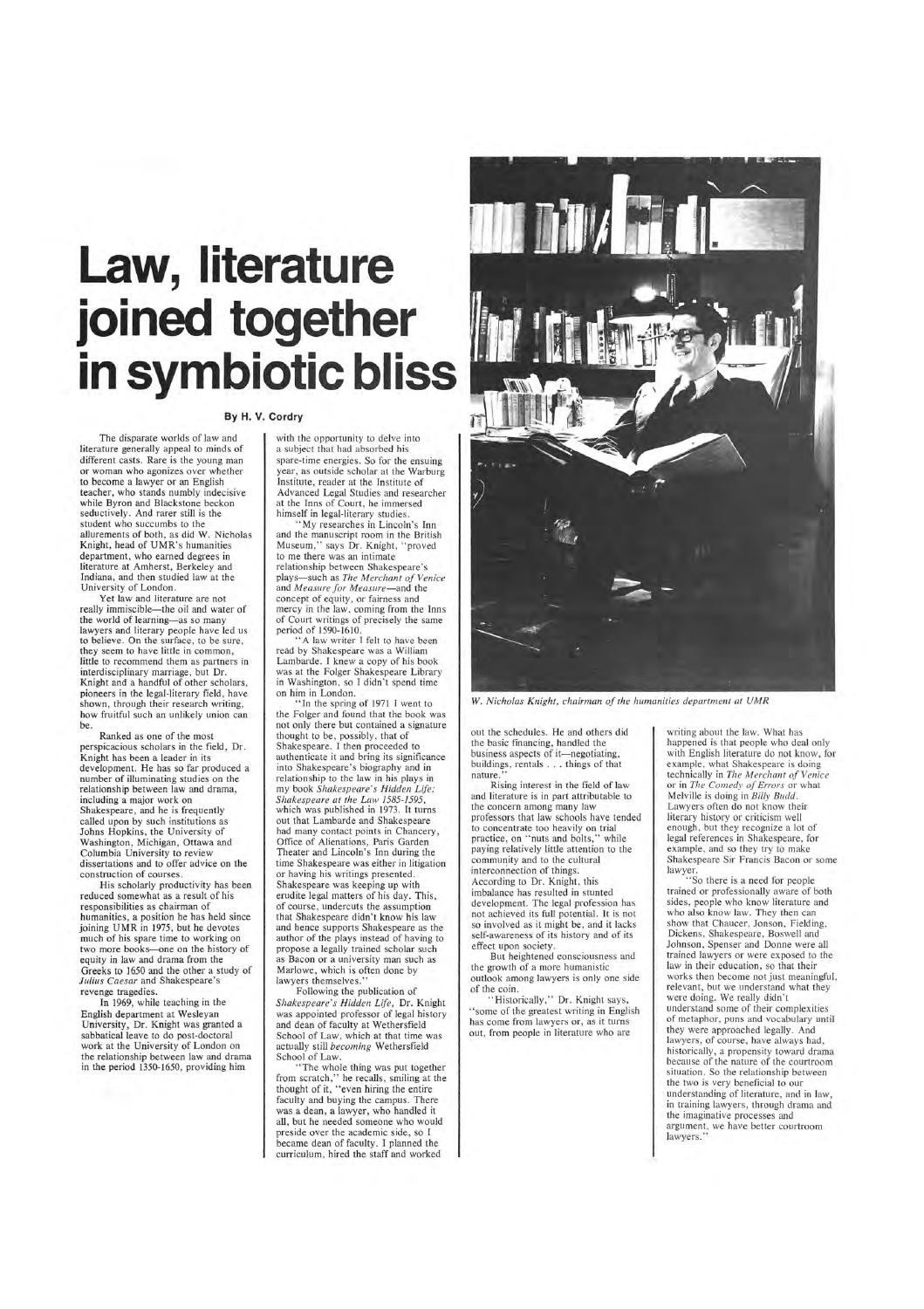# **Law, literature**  joined together **in symbiotic bliss**

#### **By H. V. Cordry**

The disparate worlds of law and literature generally appeal to minds of different casts. Rare is the young man or woman who agonizes over whether to become a lawyer or an English teacher, who stands numbly indecisive while Byron and Blackstone beckon seductively. And rarer still is the student who succumbs to the allurements of both, as did W. Nicholas Knight, head of UMR's humanities department, who earned degrees in literature at Amherst, Berkeley and Indiana, and then studied law at the University of London.

Yet law and literature are not really immiscible-the oil and water of the world of learning-as so many lawyers and literary people have led us to believe. On the surface, to be sure, they seem to have little in common, little to recommend them as partners in interdisciplinary marriage, but Dr. Knight and a handful of other scholars, pioneers in the legal-literary field, have shown, through their research writing, how fruitful such an unlikely union can be.

His scholarly productivity has been reduced somewhat as a result of his responsibilities as chairman of humanities, a position he has held since joining UMR in 1975, but he devotes much of his spare time to working on two more books-one on the history of equity in law and drama from the Greeks to 1650 and the other a study of *Julius Caesar* and Shakespeare's revenge tragedies. In 1969, while teaching in the English department at Wesleyan University, Dr. Knight was granted a sabbatical leave to do post-doctoral work at the University of London on the relationship between law and drama in the period 1350-1650, providing him

with the opportunity to delve into a subject that had absorbed his spare-time energies. So for the ensuing year, as outside scholar at the Warburg Institute, reader at the Institute of Advanced Legal Studies and researcher at the Inns of Court, he immersed himself in legal-literary studies.

Ranked as one of the most perspicacious scholars in the field, Dr. Knight has been a leader in its development. He has so far produced a number of illuminating studies on the relationship between law and drama, including a major work on Shakespeare, and he is frequently called upon by such institutions as Johns Hopkins, the University of Washington, Michigan, Ottawa and Columbia University to review dissertations and to offer advice on the construction of courses.

> Following the publication of *Shakespeare's Hidden Life,* Dr. Knight was appointed professor of legal history and dean of faculty at Wethersfield School of Law, which at that time was actually still *becoming* Wethersfield School of Law.

out the schedules. He and others did the basic financing, handled the business aspects of it—negotiating, buildings, rentals .. . things of that nature.

"My researches in Lincoln's Inn and the manuscript room *in* the British Museum," says Dr. Knight, "proved to me there was an intimate relationship between Shakespeare's plays-such as *The Merchant of Venice* and *Measure for Measure- and* the concept of equity, or fairness and mercy in the law, coming from the Inns of Court writings of precisely the same period of 1590-1610.

> "Historically," Dr. Knight says, "some of the greatest writing in English has come from lawyers or, as it turns out, from people in literature who are

"A law writer I felt to have been read by Shakespeare was a William Lambarde. I knew a copy of his book was at the Folger Shakespeare Library in Washington, so I didn't spend time on him in London.

"In the spring of 1971 I went to the Folger and found that the book was not only there but contained a signature thought to be, possibly, that of Shakespeare. I then proceeded to authenticate it and bring its significance into Shakespeare's biography and in relationship to the law in his plays in my book *Shakespeare 's Hidden Life: Shakespeare at the Law 1585-1595,*  which was published in 1973. It turns out that Lambarde and Shakespeare had many contact points in Chancery, Office of Alienations, Paris Garden Theater and Lincoln's Inn during the time Shakespeare was either in litigation or having his writings presented. Shakespeare was keeping up with erudite legal matters of his day. This, of course, undercuts the assumption that Shakespeare didn't know his law and hence supports Shakespeare as the author of the plays instead of having to propose a legally trained scholar such as Bacon or a university man such as Marlowe, which is often done by lawyers themselves."

" The whole thing was put together from scratch," he recalls, smiling at the thought of it, "even hiring the entire faculty and buying the campus. There was a dean, a lawyer, who handled it all, but he needed someone who would preside over the academic side, so I became dean of faculty. I planned the curriculum, hired the staff and worked



W. *Nicholas Knight, chairman of the humanities department at UMR* 

Rising interest in the field of law and literature is in part attributable to the concern among many law professors that law schools have tended to concentrate too heavily on trial practice, on "nuts and bolts," while paying relatively little attention to the community and to the cultural interconnection of things. According to Dr. Knight, this imbalance has resulted in stunted development. The legal profession has not achieved its full potential. It is not so involved as it might be, and it lacks self-awareness of its history and of its effect upon society.

But heightened consciousness and

the growth of a more humanistic outlook among lawyers is only one side of the coin .

writing about the law. What has happened is that people who deal only with English literature do not know, for example, what Shakespeare is doing technically in *The Merchant of Venice* or in *The Comedy of Errors* or what Melville is doing in *Billy Budd.*  Lawyers often do not know their literary history or criticism well enough, but they recognize a lot of legal references in Shakespeare, for example, and so they try to make Shakespeare Sir Francis Bacon or some lawyer.

"So there is a need for people trained or professionally aware of both sides, people who know literature and who also know law. They then can show that Chaucer, Jonson, Fielding, Dickens, Shakespeare, Boswell and Johnson, Spenser and Donne were all trained lawyers or were exposed to the

law in their education, so that their works then become not just meaningful, relevant, but we understand what they were doing. We really didn't understand some of their complexities of metaphor, puns and vocabulary until they were approached legally. And lawyers, of course, have always had, historically, a propensity toward drama because of the nature of the courtroom situation. So the relationship between the two is very beneficial to our understanding of literature, and in law, in training lawyers, through drama and the imaginative processes and argument, we have better courtroom lawyers."